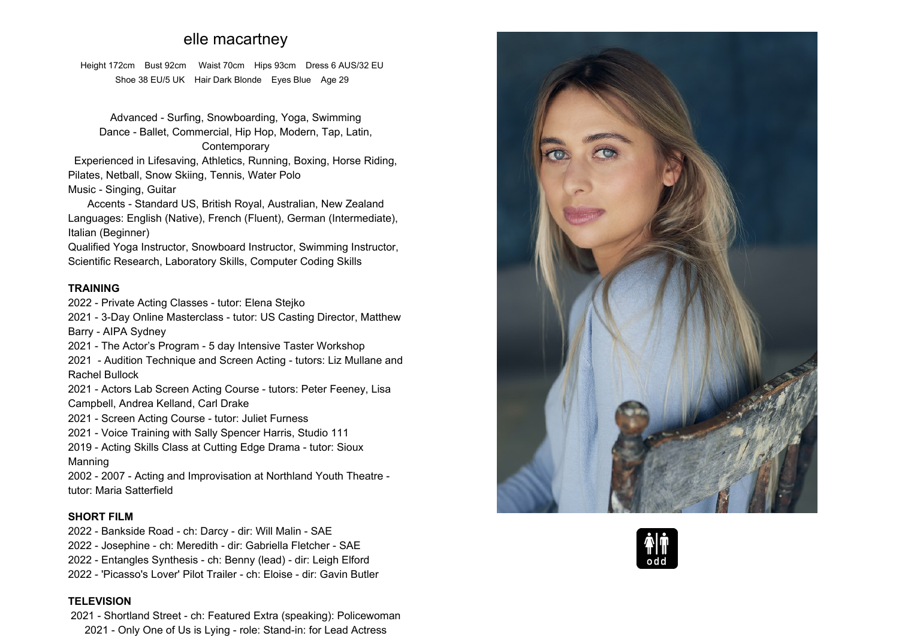# **elle macartney**

**Height 172cm Bust 92cm Waist 70cm Hips 93cm Dress <sup>6</sup> AUS/32 EU Shoe <sup>38</sup> EU/5 UK Hair Dark Blonde Eyes Blue Age <sup>29</sup>**

**Advanced - Surfing, Snowboarding, Yoga, Swimming Dance - Ballet, Commercial, Hip Hop, Modern, Tap, Latin, Contemporary**

 **Experienced in Lifesaving, Athletics, Running, Boxing, Horse Riding, Pilates, Netball, Snow Skiing, Tennis, Water Polo Music - Singing, Guitar**

**Accents - Standard US, British Royal, Australian, New Zealand Languages: English (Native), French (Fluent), German (Intermediate), Italian (Beginner)**

**Qualified Yoga Instructor, Snowboard Instructor, Swimming Instructor, Scientific Research, Laboratory Skills, Computer Coding Skills**

### **TRAINING**

**2022 - Private Acting Classes - tutor: Elena Stejko**

**2021 - 3-Day Online Masterclass - tutor: US Casting Director, Matthew**

**Barry - AIPA Sydney 2021 - The Actor's Program - <sup>5</sup> day Intensive Taster Workshop**

**2021 - Audition Technique and Screen Acting - tutors: Liz Mullane and Rachel Bullock**

 **2021 - Actors Lab Screen Acting Course - tutors: Peter Feeney, Lisa Campbell, Andrea Kelland, Carl Drake** 

**2021 - Screen Acting Course - tutor: Juliet Furness**

**2021 - Voice Training with Sally Spencer Harris, Studio <sup>111</sup>**

**2019 - Acting Skills Class at Cutting Edge Drama - tutor: Sioux Manning**

 **2002 - <sup>2007</sup> - Acting and Improvisation at Northland Youth Theatre tutor: Maria Satterfield**

### **SHORT FILM**

**2022 - Bankside Road - ch: Darcy - dir: Will Malin - SAE**

- **2022 - Josephine - ch: Meredith - dir: Gabriella Fletcher - SAE**
- **2022 - Entangles Synthesis - ch: Benny (lead) - dir: Leigh Elford**
- **2022 - 'Picasso's Lover' Pilot Trailer - ch: Eloise - dir: Gavin Butler**

### **TELEVISION**

 **2021 - Shortland Street - ch: Featured Extra (speaking): Policewoman 2021 - Only One of Us is Lying - role: Stand-in: for Lead Actress**